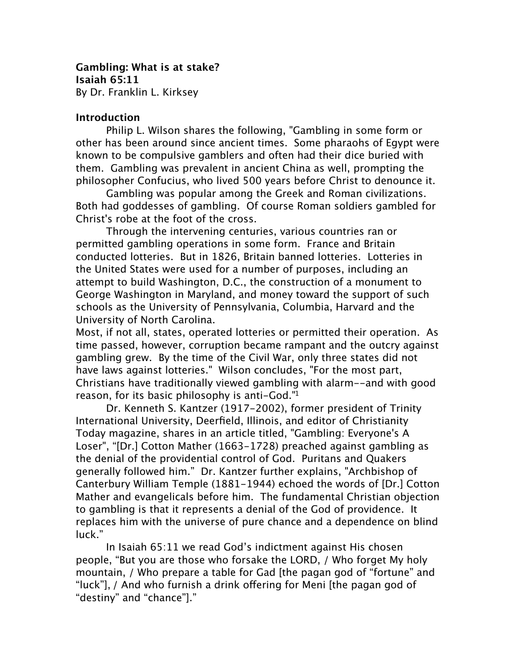**Gambling: What is at stake? Isaiah 65:11** By Dr. Franklin L. Kirksey

### **Introduction**

Philip L. Wilson shares the following, "Gambling in some form or other has been around since ancient times. Some pharaohs of Egypt were known to be compulsive gamblers and often had their dice buried with them. Gambling was prevalent in ancient China as well, prompting the philosopher Confucius, who lived 500 years before Christ to denounce it.

Gambling was popular among the Greek and Roman civilizations. Both had goddesses of gambling. Of course Roman soldiers gambled for Christ's robe at the foot of the cross.

Through the intervening centuries, various countries ran or permitted gambling operations in some form. France and Britain conducted lotteries. But in 1826, Britain banned lotteries. Lotteries in the United States were used for a number of purposes, including an attempt to build Washington, D.C., the construction of a monument to George Washington in Maryland, and money toward the support of such schools as the University of Pennsylvania, Columbia, Harvard and the University of North Carolina.

Most, if not all, states, operated lotteries or permitted their operation. As time passed, however, corruption became rampant and the outcry against gambling grew. By the time of the Civil War, only three states did not have laws against lotteries." Wilson concludes, "For the most part, Christians have traditionally viewed gambling with alarm--and with good reason, for its basic philosophy is anti-God.["1](#page-10-0)

Dr. Kenneth S. Kantzer (1917-2002), former president of Trinity International University, Deerfield, Illinois, and editor of Christianity Today magazine, shares in an article titled, "Gambling: Everyone's A Loser", "[Dr.] Cotton Mather (1663-1728) preached against gambling as the denial of the providential control of God. Puritans and Quakers generally followed him." Dr. Kantzer further explains, "Archbishop of Canterbury William Temple (1881-1944) echoed the words of [Dr.] Cotton Mather and evangelicals before him. The fundamental Christian objection to gambling is that it represents a denial of the God of providence. It replaces him with the universe of pure chance and a dependence on blind luck."

In Isaiah 65:11 we read God's indictment against His chosen people, "But you are those who forsake the LORD, / Who forget My holy mountain, / Who prepare a table for Gad [the pagan god of "fortune" and "luck"], / And who furnish a drink offering for Meni [the pagan god of "destiny" and "chance"]."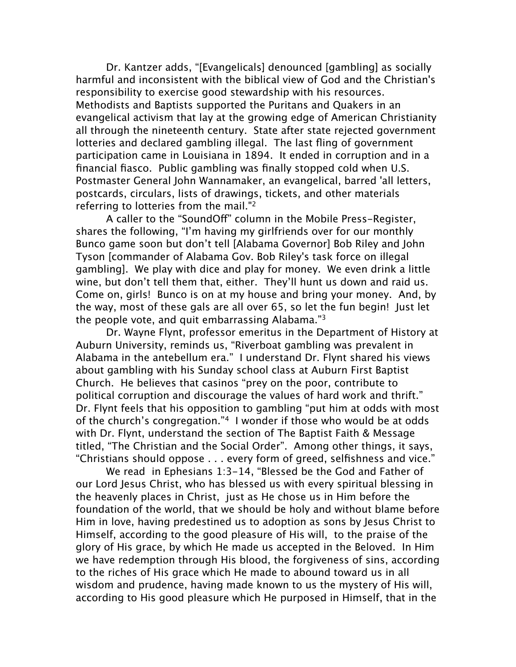Dr. Kantzer adds, "[Evangelicals] denounced [gambling] as socially harmful and inconsistent with the biblical view of God and the Christian's responsibility to exercise good stewardship with his resources. Methodists and Baptists supported the Puritans and Quakers in an evangelical activism that lay at the growing edge of American Christianity all through the nineteenth century. State after state rejected government lotteries and declared gambling illegal. The last fling of government participation came in Louisiana in 1894. It ended in corruption and in a financial fiasco. Public gambling was finally stopped cold when U.S. Postmaster General John Wannamaker, an evangelical, barred 'all letters, postcards, circulars, lists of drawings, tickets, and other materials referring to lotteries from the mail.["2](#page-10-1)

A caller to the "SoundOff" column in the Mobile Press-Register, shares the following, "I'm having my girlfriends over for our monthly Bunco game soon but don't tell [Alabama Governor] Bob Riley and John Tyson [commander of Alabama Gov. Bob Riley's task force on illegal gambling]. We play with dice and play for money. We even drink a little wine, but don't tell them that, either. They'll hunt us down and raid us. Come on, girls! Bunco is on at my house and bring your money. And, by the way, most of these gals are all over 65, so let the fun begin! Just let the people vote, and quit embarrassing Alabama."[3](#page-10-2)

Dr. Wayne Flynt, professor emeritus in the Department of History at Auburn University, reminds us, "Riverboat gambling was prevalent in Alabama in the antebellum era." I understand Dr. Flynt shared his views about gambling with his Sunday school class at Auburn First Baptist Church. He believes that casinos "prey on the poor, contribute to political corruption and discourage the values of hard work and thrift." Dr. Flynt feels that his opposition to gambling "put him at odds with most of the church's congregation."[4](#page-10-3) I wonder if those who would be at odds with Dr. Flynt, understand the section of The Baptist Faith & Message titled, "The Christian and the Social Order". Among other things, it says, "Christians should oppose . . . every form of greed, selfishness and vice."

We read in Ephesians 1:3-14, "Blessed be the God and Father of our Lord Jesus Christ, who has blessed us with every spiritual blessing in the heavenly places in Christ, just as He chose us in Him before the foundation of the world, that we should be holy and without blame before Him in love, having predestined us to adoption as sons by Jesus Christ to Himself, according to the good pleasure of His will, to the praise of the glory of His grace, by which He made us accepted in the Beloved. In Him we have redemption through His blood, the forgiveness of sins, according to the riches of His grace which He made to abound toward us in all wisdom and prudence, having made known to us the mystery of His will, according to His good pleasure which He purposed in Himself, that in the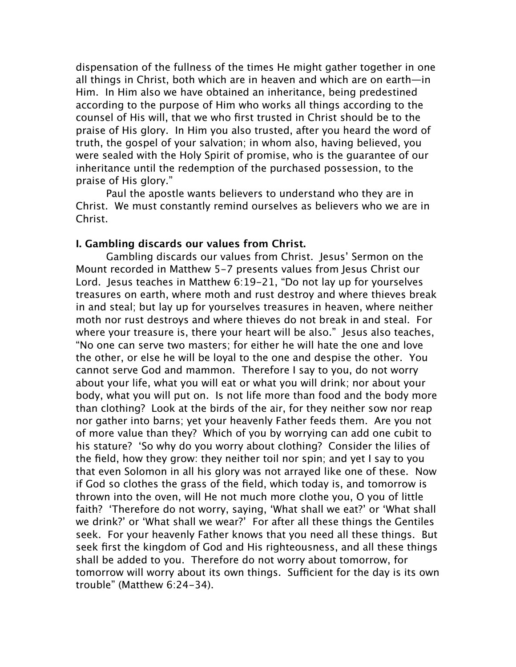dispensation of the fullness of the times He might gather together in one all things in Christ, both which are in heaven and which are on earth—in Him. In Him also we have obtained an inheritance, being predestined according to the purpose of Him who works all things according to the counsel of His will, that we who first trusted in Christ should be to the praise of His glory. In Him you also trusted, after you heard the word of truth, the gospel of your salvation; in whom also, having believed, you were sealed with the Holy Spirit of promise, who is the guarantee of our inheritance until the redemption of the purchased possession, to the praise of His glory."

Paul the apostle wants believers to understand who they are in Christ. We must constantly remind ourselves as believers who we are in Christ.

## **I. Gambling discards our values from Christ.**

Gambling discards our values from Christ. Jesus' Sermon on the Mount recorded in Matthew 5-7 presents values from Jesus Christ our Lord. Jesus teaches in Matthew 6:19-21, "Do not lay up for yourselves treasures on earth, where moth and rust destroy and where thieves break in and steal; but lay up for yourselves treasures in heaven, where neither moth nor rust destroys and where thieves do not break in and steal. For where your treasure is, there your heart will be also." Jesus also teaches, "No one can serve two masters; for either he will hate the one and love the other, or else he will be loyal to the one and despise the other. You cannot serve God and mammon. Therefore I say to you, do not worry about your life, what you will eat or what you will drink; nor about your body, what you will put on. Is not life more than food and the body more than clothing? Look at the birds of the air, for they neither sow nor reap nor gather into barns; yet your heavenly Father feeds them. Are you not of more value than they? Which of you by worrying can add one cubit to his stature? 'So why do you worry about clothing? Consider the lilies of the field, how they grow: they neither toil nor spin; and yet I say to you that even Solomon in all his glory was not arrayed like one of these. Now if God so clothes the grass of the field, which today is, and tomorrow is thrown into the oven, will He not much more clothe you, O you of little faith? 'Therefore do not worry, saying, 'What shall we eat?' or 'What shall we drink?' or 'What shall we wear?' For after all these things the Gentiles seek. For your heavenly Father knows that you need all these things. But seek first the kingdom of God and His righteousness, and all these things shall be added to you. Therefore do not worry about tomorrow, for tomorrow will worry about its own things. Sufficient for the day is its own trouble" (Matthew 6:24-34).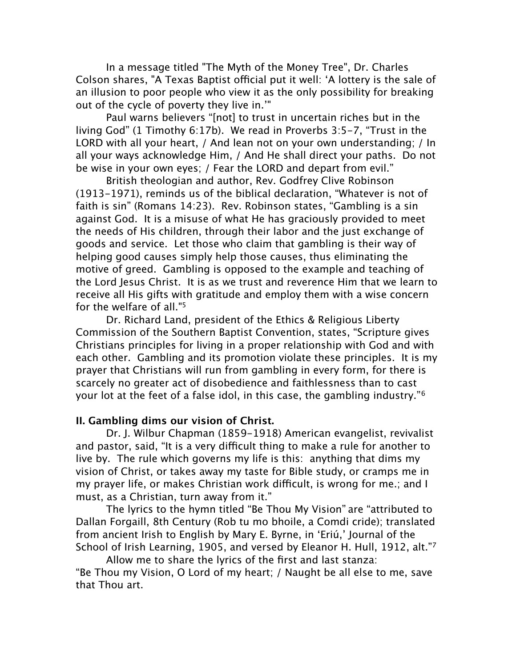In a message titled "The Myth of the Money Tree", Dr. Charles Colson shares, "A Texas Baptist official put it well: 'A lottery is the sale of an illusion to poor people who view it as the only possibility for breaking out of the cycle of poverty they live in.'"

Paul warns believers "[not] to trust in uncertain riches but in the living God" (1 Timothy 6:17b). We read in Proverbs 3:5-7, "Trust in the LORD with all your heart, / And lean not on your own understanding; / In all your ways acknowledge Him, / And He shall direct your paths. Do not be wise in your own eyes; / Fear the LORD and depart from evil."

British theologian and author, Rev. Godfrey Clive Robinson (1913-1971), reminds us of the biblical declaration, "Whatever is not of faith is sin" (Romans 14:23). Rev. Robinson states, "Gambling is a sin against God. It is a misuse of what He has graciously provided to meet the needs of His children, through their labor and the just exchange of goods and service. Let those who claim that gambling is their way of helping good causes simply help those causes, thus eliminating the motive of greed. Gambling is opposed to the example and teaching of the Lord Jesus Christ. It is as we trust and reverence Him that we learn to receive all His gifts with gratitude and employ them with a wise concern for the welfare of all.["5](#page-10-4)

Dr. Richard Land, president of the Ethics & Religious Liberty Commission of the Southern Baptist Convention, states, "Scripture gives Christians principles for living in a proper relationship with God and with each other. Gambling and its promotion violate these principles. It is my prayer that Christians will run from gambling in every form, for there is scarcely no greater act of disobedience and faithlessness than to cast your lot at the feet of a false idol, in this case, the gambling industry."[6](#page-10-5)

# **II. Gambling dims our vision of Christ.**

Dr. J. Wilbur Chapman (1859-1918) American evangelist, revivalist and pastor, said, "It is a very difficult thing to make a rule for another to live by. The rule which governs my life is this: anything that dims my vision of Christ, or takes away my taste for Bible study, or cramps me in my prayer life, or makes Christian work difficult, is wrong for me.; and I must, as a Christian, turn away from it."

The lyrics to the hymn titled "Be Thou My Vision" are "attributed to Dallan Forgaill, 8th Century (Rob tu mo bhoile, a Comdi cride); translated from ancient Irish to English by Mary E. Byrne, in 'Eriú,' Journal of the School of Irish Learning, 1905, and versed by Eleanor H. Hull, 1912, alt."[7](#page-10-6)

Allow me to share the lyrics of the first and last stanza: "Be Thou my Vision, O Lord of my heart; / Naught be all else to me, save that Thou art.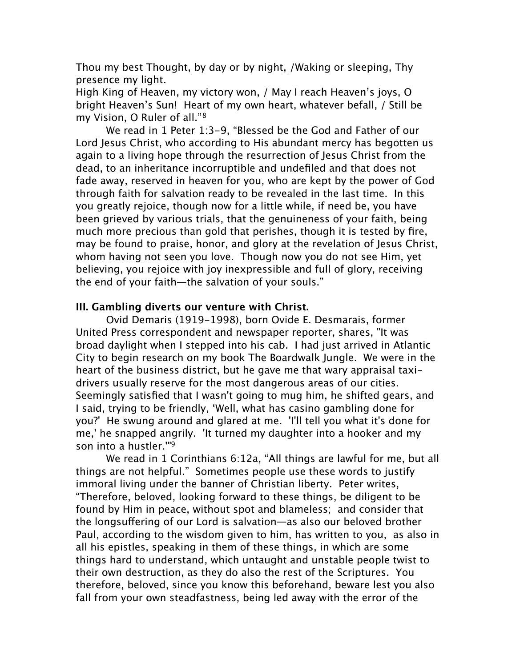Thou my best Thought, by day or by night, /Waking or sleeping, Thy presence my light.

High King of Heaven, my victory won, / May I reach Heaven's joys, O bright Heaven's Sun! Heart of my own heart, whatever befall, / Still be my Vision, O Ruler of all."[8](#page-10-7)

We read in 1 Peter 1:3-9, "Blessed be the God and Father of our Lord Jesus Christ, who according to His abundant mercy has begotten us again to a living hope through the resurrection of Jesus Christ from the dead, to an inheritance incorruptible and undefiled and that does not fade away, reserved in heaven for you, who are kept by the power of God through faith for salvation ready to be revealed in the last time. In this you greatly rejoice, though now for a little while, if need be, you have been grieved by various trials, that the genuineness of your faith, being much more precious than gold that perishes, though it is tested by fire, may be found to praise, honor, and glory at the revelation of Jesus Christ, whom having not seen you love. Though now you do not see Him, yet believing, you rejoice with joy inexpressible and full of glory, receiving the end of your faith—the salvation of your souls."

# **III. Gambling diverts our venture with Christ.**

Ovid Demaris (1919-1998), born Ovide E. Desmarais, former United Press correspondent and newspaper reporter, shares, "It was broad daylight when I stepped into his cab. I had just arrived in Atlantic City to begin research on my book The Boardwalk Jungle. We were in the heart of the business district, but he gave me that wary appraisal taxidrivers usually reserve for the most dangerous areas of our cities. Seemingly satisfied that I wasn't going to mug him, he shifted gears, and I said, trying to be friendly, 'Well, what has casino gambling done for you?' He swung around and glared at me. 'I'll tell you what it's done for me,' he snapped angrily. 'It turned my daughter into a hooker and my son into a hustler.'["9](#page-10-8)

We read in 1 Corinthians 6:12a, "All things are lawful for me, but all things are not helpful." Sometimes people use these words to justify immoral living under the banner of Christian liberty. Peter writes, "Therefore, beloved, looking forward to these things, be diligent to be found by Him in peace, without spot and blameless; and consider that the longsuffering of our Lord is salvation—as also our beloved brother Paul, according to the wisdom given to him, has written to you, as also in all his epistles, speaking in them of these things, in which are some things hard to understand, which untaught and unstable people twist to their own destruction, as they do also the rest of the Scriptures. You therefore, beloved, since you know this beforehand, beware lest you also fall from your own steadfastness, being led away with the error of the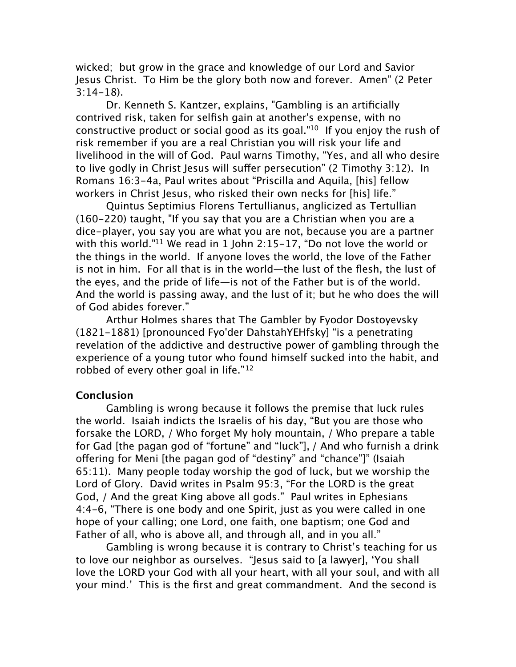wicked; but grow in the grace and knowledge of our Lord and Savior Jesus Christ. To Him be the glory both now and forever. Amen" (2 Peter 3:14-18).

Dr. Kenneth S. Kantzer, explains, "Gambling is an artificially contrived risk, taken for selfish gain at another's expense, with no constructive product or social good as its goal.["10](#page-10-9) If you enjoy the rush of risk remember if you are a real Christian you will risk your life and livelihood in the will of God. Paul warns Timothy, "Yes, and all who desire to live godly in Christ Jesus will suffer persecution" (2 Timothy  $3:12$ ). In Romans 16:3-4a, Paul writes about "Priscilla and Aquila, [his] fellow workers in Christ Jesus, who risked their own necks for [his] life."

Quintus Septimius Florens Tertullianus, anglicized as Tertullian (160-220) taught, "If you say that you are a Christian when you are a dice-player, you say you are what you are not, because you are a partner with this world.["11](#page-10-10) We read in 1 John 2:15-17, "Do not love the world or the things in the world. If anyone loves the world, the love of the Father is not in him. For all that is in the world—the lust of the flesh, the lust of the eyes, and the pride of life—is not of the Father but is of the world. And the world is passing away, and the lust of it; but he who does the will of God abides forever."

Arthur Holmes shares that The Gambler by Fyodor Dostoyevsky (1821-1881) [pronounced Fyo'der DahstahYEHfsky] "is a penetrating revelation of the addictive and destructive power of gambling through the experience of a young tutor who found himself sucked into the habit, and robbed of every other goal in life."[12](#page-10-11)

## **Conclusion**

Gambling is wrong because it follows the premise that luck rules the world. Isaiah indicts the Israelis of his day, "But you are those who forsake the LORD, / Who forget My holy mountain, / Who prepare a table for Gad [the pagan god of "fortune" and "luck"], / And who furnish a drink offering for Meni [the pagan god of "destiny" and "chance"]" (Isaiah 65:11). Many people today worship the god of luck, but we worship the Lord of Glory. David writes in Psalm 95:3, "For the LORD is the great God, / And the great King above all gods." Paul writes in Ephesians 4:4-6, "There is one body and one Spirit, just as you were called in one hope of your calling; one Lord, one faith, one baptism; one God and Father of all, who is above all, and through all, and in you all."

Gambling is wrong because it is contrary to Christ's teaching for us to love our neighbor as ourselves. "Jesus said to [a lawyer], 'You shall love the LORD your God with all your heart, with all your soul, and with all your mind.' This is the first and great commandment. And the second is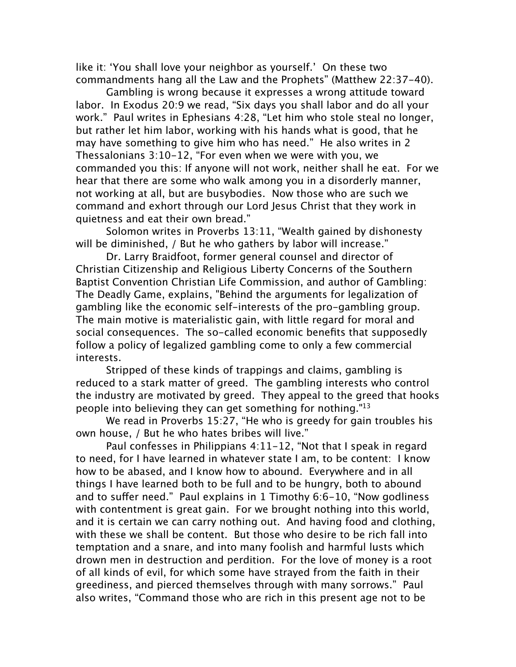like it: 'You shall love your neighbor as yourself.' On these two commandments hang all the Law and the Prophets" (Matthew 22:37-40).

Gambling is wrong because it expresses a wrong attitude toward labor. In Exodus 20:9 we read, "Six days you shall labor and do all your work." Paul writes in Ephesians 4:28, "Let him who stole steal no longer, but rather let him labor, working with his hands what is good, that he may have something to give him who has need." He also writes in 2 Thessalonians 3:10-12, "For even when we were with you, we commanded you this: If anyone will not work, neither shall he eat. For we hear that there are some who walk among you in a disorderly manner, not working at all, but are busybodies. Now those who are such we command and exhort through our Lord Jesus Christ that they work in quietness and eat their own bread."

Solomon writes in Proverbs 13:11, "Wealth gained by dishonesty will be diminished, / But he who gathers by labor will increase."

Dr. Larry Braidfoot, former general counsel and director of Christian Citizenship and Religious Liberty Concerns of the Southern Baptist Convention Christian Life Commission, and author of Gambling: The Deadly Game, explains, "Behind the arguments for legalization of gambling like the economic self-interests of the pro-gambling group. The main motive is materialistic gain, with little regard for moral and social consequences. The so-called economic benefits that supposedly follow a policy of legalized gambling come to only a few commercial interests.

Stripped of these kinds of trappings and claims, gambling is reduced to a stark matter of greed. The gambling interests who control the industry are motivated by greed. They appeal to the greed that hooks people into believing they can get something for nothing.["13](#page-10-12)

We read in Proverbs 15:27, "He who is greedy for gain troubles his own house, / But he who hates bribes will live."

Paul confesses in Philippians 4:11-12, "Not that I speak in regard to need, for I have learned in whatever state I am, to be content: I know how to be abased, and I know how to abound. Everywhere and in all things I have learned both to be full and to be hungry, both to abound and to suffer need." Paul explains in 1 Timothy  $6:6-10$ , "Now godliness with contentment is great gain. For we brought nothing into this world, and it is certain we can carry nothing out. And having food and clothing, with these we shall be content. But those who desire to be rich fall into temptation and a snare, and into many foolish and harmful lusts which drown men in destruction and perdition. For the love of money is a root of all kinds of evil, for which some have strayed from the faith in their greediness, and pierced themselves through with many sorrows." Paul also writes, "Command those who are rich in this present age not to be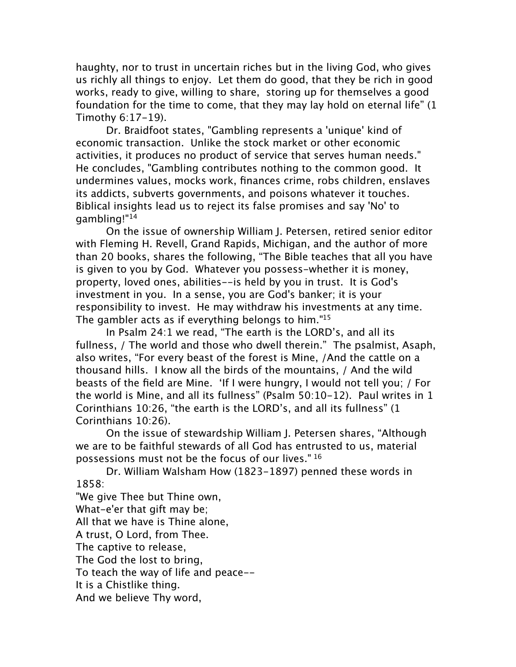haughty, nor to trust in uncertain riches but in the living God, who gives us richly all things to enjoy. Let them do good, that they be rich in good works, ready to give, willing to share, storing up for themselves a good foundation for the time to come, that they may lay hold on eternal life" (1 Timothy 6:17-19).

Dr. Braidfoot states, "Gambling represents a 'unique' kind of economic transaction. Unlike the stock market or other economic activities, it produces no product of service that serves human needs." He concludes, "Gambling contributes nothing to the common good. It undermines values, mocks work, finances crime, robs children, enslaves its addicts, subverts governments, and poisons whatever it touches. Biblical insights lead us to reject its false promises and say 'No' to gambling!["14](#page-10-13)

On the issue of ownership William J. Petersen, retired senior editor with Fleming H. Revell, Grand Rapids, Michigan, and the author of more than 20 books, shares the following, "The Bible teaches that all you have is given to you by God. Whatever you possess-whether it is money, property, loved ones, abilities--is held by you in trust. It is God's investment in you. In a sense, you are God's banker; it is your responsibility to invest. He may withdraw his investments at any time. The gambler acts as if everything belongs to him."<sup>15</sup>

In Psalm 24:1 we read, "The earth is the LORD's, and all its fullness, / The world and those who dwell therein." The psalmist, Asaph, also writes, "For every beast of the forest is Mine, /And the cattle on a thousand hills. I know all the birds of the mountains, / And the wild beasts of the field are Mine. 'If I were hungry, I would not tell you; / For the world is Mine, and all its fullness" (Psalm 50:10-12). Paul writes in 1 Corinthians 10:26, "the earth is the LORD's, and all its fullness" (1 Corinthians 10:26).

On the issue of stewardship William J. Petersen shares, "Although we are to be faithful stewards of all God has entrusted to us, material possessions must not be the focus of our lives." [16](#page-10-15)

Dr. William Walsham How (1823-1897) penned these words in 1858:

"We give Thee but Thine own, What-e'er that gift may be; All that we have is Thine alone,

A trust, O Lord, from Thee.

The captive to release,

The God the lost to bring,

To teach the way of life and peace--

It is a Chistlike thing.

And we believe Thy word,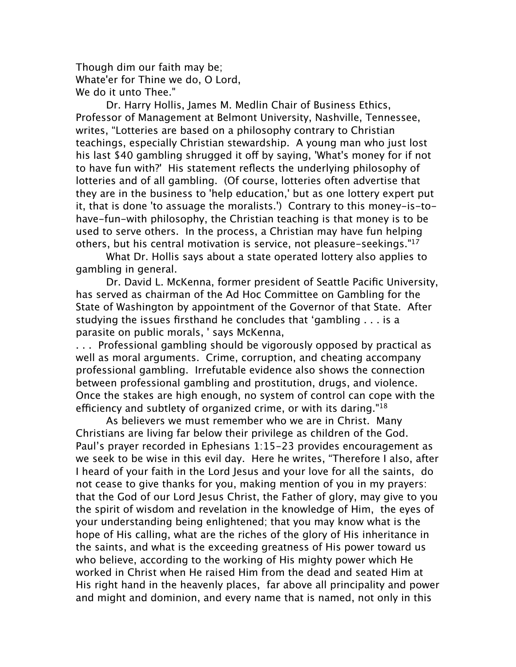Though dim our faith may be; Whate'er for Thine we do, O Lord, We do it unto Thee."

Dr. Harry Hollis, James M. Medlin Chair of Business Ethics, Professor of Management at Belmont University, Nashville, Tennessee, writes, "Lotteries are based on a philosophy contrary to Christian teachings, especially Christian stewardship. A young man who just lost his last \$40 gambling shrugged it off by saying, 'What's money for if not to have fun with?' His statement reflects the underlying philosophy of lotteries and of all gambling. (Of course, lotteries often advertise that they are in the business to 'help education,' but as one lottery expert put it, that is done 'to assuage the moralists.') Contrary to this money-is-tohave-fun-with philosophy, the Christian teaching is that money is to be used to serve others. In the process, a Christian may have fun helping others, but his central motivation is service, not pleasure-seekings.["17](#page-11-0)

What Dr. Hollis says about a state operated lottery also applies to gambling in general.

Dr. David L. McKenna, former president of Seattle Pacific University, has served as chairman of the Ad Hoc Committee on Gambling for the State of Washington by appointment of the Governor of that State. After studying the issues firsthand he concludes that 'gambling . . . is a parasite on public morals, ' says McKenna,

. . . Professional gambling should be vigorously opposed by practical as well as moral arguments. Crime, corruption, and cheating accompany professional gambling. Irrefutable evidence also shows the connection between professional gambling and prostitution, drugs, and violence. Once the stakes are high enough, no system of control can cope with the efficiency and subtlety of organized crime, or with its daring." $18$ 

As believers we must remember who we are in Christ. Many Christians are living far below their privilege as children of the God. Paul's prayer recorded in Ephesians 1:15-23 provides encouragement as we seek to be wise in this evil day. Here he writes, "Therefore I also, after I heard of your faith in the Lord Jesus and your love for all the saints, do not cease to give thanks for you, making mention of you in my prayers: that the God of our Lord Jesus Christ, the Father of glory, may give to you the spirit of wisdom and revelation in the knowledge of Him, the eyes of your understanding being enlightened; that you may know what is the hope of His calling, what are the riches of the glory of His inheritance in the saints, and what is the exceeding greatness of His power toward us who believe, according to the working of His mighty power which He worked in Christ when He raised Him from the dead and seated Him at His right hand in the heavenly places, far above all principality and power and might and dominion, and every name that is named, not only in this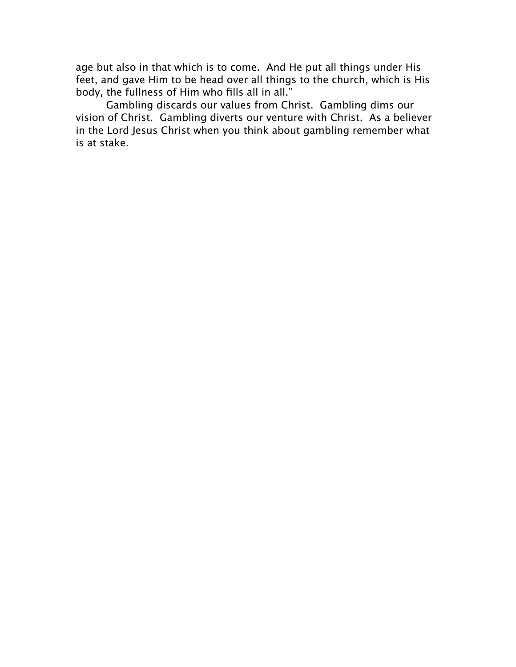age but also in that which is to come. And He put all things under His feet, and gave Him to be head over all things to the church, which is His body, the fullness of Him who fills all in all."

Gambling discards our values from Christ. Gambling dims our vision of Christ. Gambling diverts our venture with Christ. As a believer in the Lord Jesus Christ when you think about gambling remember what is at stake.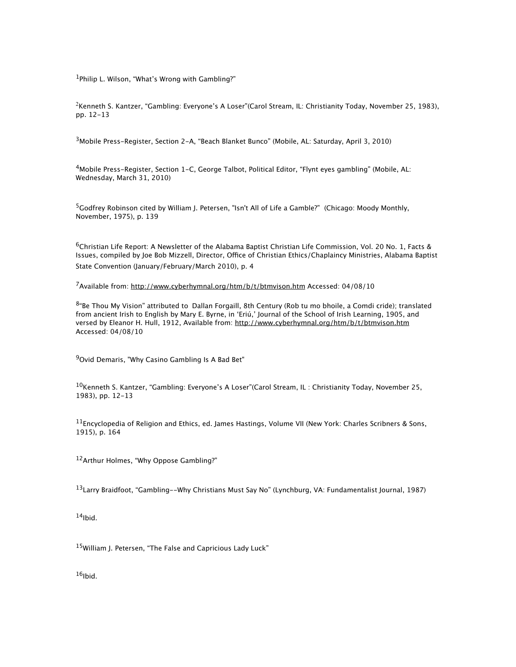<span id="page-10-0"></span><sup>1</sup>Philip L. Wilson, "What's Wrong with Gambling?"

<span id="page-10-1"></span><sup>2</sup>Kenneth S. Kantzer, "Gambling: Everyone's A Loser"(Carol Stream, IL: Christianity Today, November 25, 1983), pp. 12-13

<span id="page-10-2"></span>3Mobile Press-Register, Section 2-A, "Beach Blanket Bunco" (Mobile, AL: Saturday, April 3, 2010)

<span id="page-10-3"></span>4Mobile Press-Register, Section 1-C, George Talbot, Political Editor, "Flynt eyes gambling" (Mobile, AL: Wednesday, March 31, 2010)

<span id="page-10-4"></span><sup>5</sup>Godfrey Robinson cited by William J. Petersen, "Isn't All of Life a Gamble?" (Chicago: Moody Monthly, November, 1975), p. 139

<span id="page-10-5"></span>6Christian Life Report: A Newsletter of the Alabama Baptist Christian Life Commission, Vol. 20 No. 1, Facts & Issues, compiled by Joe Bob Mizzell, Director, Office of Christian Ethics/Chaplaincy Ministries, Alabama Baptist State Convention (January/February/March 2010), p. 4

<span id="page-10-6"></span>7Available from:<http://www.cyberhymnal.org/htm/b/t/btmvison.htm> Accessed: 04/08/10

<span id="page-10-7"></span>8"Be Thou My Vision" attributed to Dallan Forgaill, 8th Century (Rob tu mo bhoile, a Comdi cride); translated from ancient Irish to English by Mary E. Byrne, in 'Eriú,' Journal of the School of Irish Learning, 1905, and versed by Eleanor H. Hull, 1912, Available from: <http://www.cyberhymnal.org/htm/b/t/btmvison.htm> Accessed: 04/08/10

<span id="page-10-8"></span><sup>9</sup>Ovid Demaris, "Why Casino Gambling Is A Bad Bet"

<span id="page-10-9"></span> $^{10}$ Kenneth S. Kantzer, "Gambling: Everyone's A Loser"(Carol Stream, IL: Christianity Today, November 25, 1983), pp. 12-13

<span id="page-10-10"></span>11Encyclopedia of Religion and Ethics, ed. James Hastings, Volume VII (New York: Charles Scribners & Sons, 1915), p. 164

<span id="page-10-11"></span>12Arthur Holmes, "Why Oppose Gambling?"

<span id="page-10-12"></span><sup>13</sup>Larry Braidfoot, "Gambling--Why Christians Must Say No" (Lynchburg, VA: Fundamentalist Journal, 1987)

<span id="page-10-13"></span> $14$ Ibid.

<span id="page-10-14"></span><sup>15</sup>William J. Petersen, "The False and Capricious Lady Luck"

<span id="page-10-15"></span> $16$ Ibid.